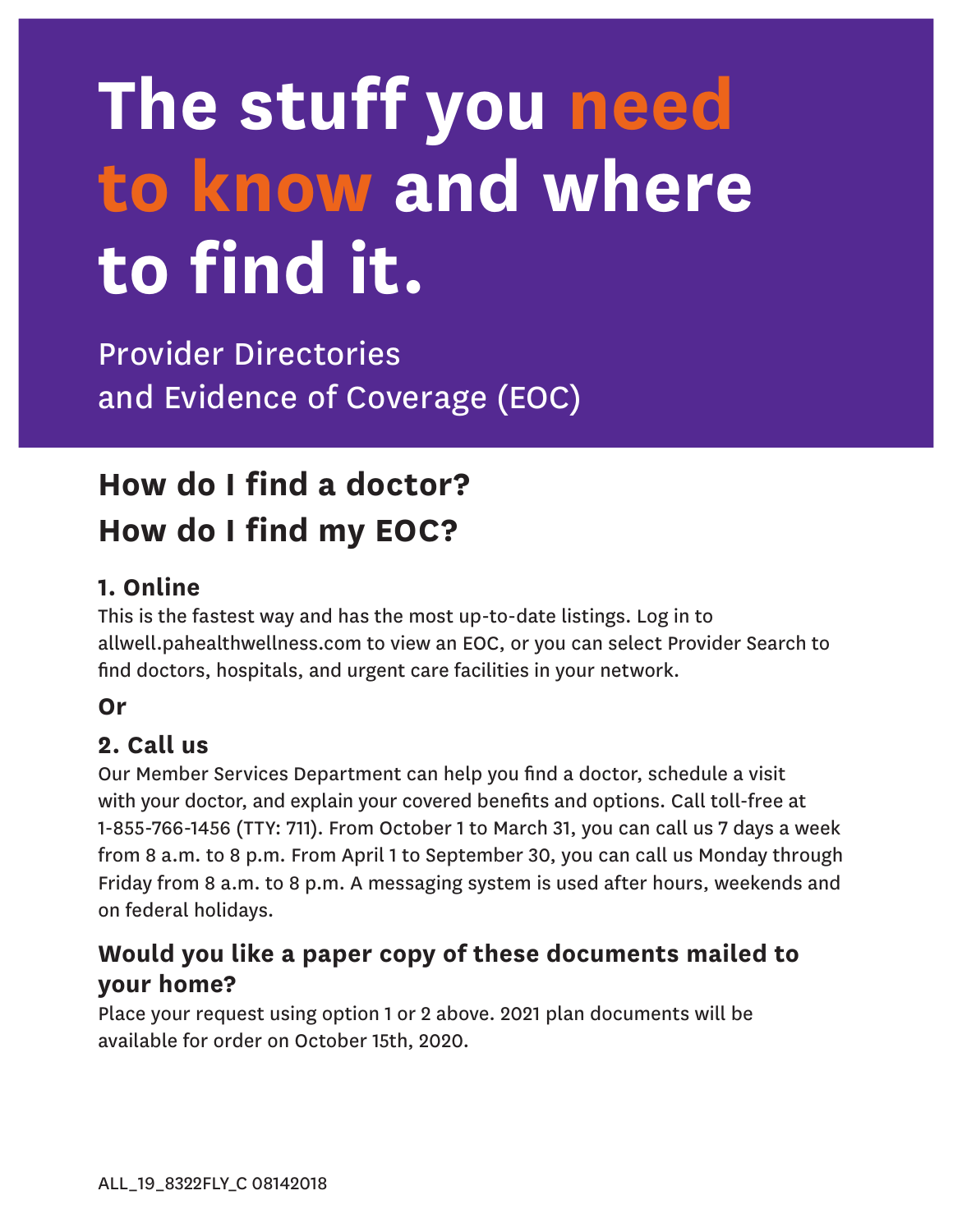# **The stuff you need to know and where to find it.**

Provider Directories and Evidence of Coverage (EOC)

## **How do I find a doctor? How do I find my EOC?**

### **1. Online**

This is the fastest way and has the most up-to-date listings. Log in to allwell.pahealthwellness.com to view an EOC, or you can select Provider Search to find doctors, hospitals, and urgent care facilities in your network.

#### **Or**

#### **2. Call us**

Our Member Services Department can help you find a doctor, schedule a visit with your doctor, and explain your covered benefits and options. Call toll-free at 1-855-766-1456 (TTY: 711). From October 1 to March 31, you can call us 7 days a week from 8 a.m. to 8 p.m. From April 1 to September 30, you can call us Monday through Friday from 8 a.m. to 8 p.m. A messaging system is used after hours, weekends and on federal holidays.

### **Would you like a paper copy of these documents mailed to your home?**

Place your request using option 1 or 2 above. 2021 plan documents will be available for order on October 15th, 2020.